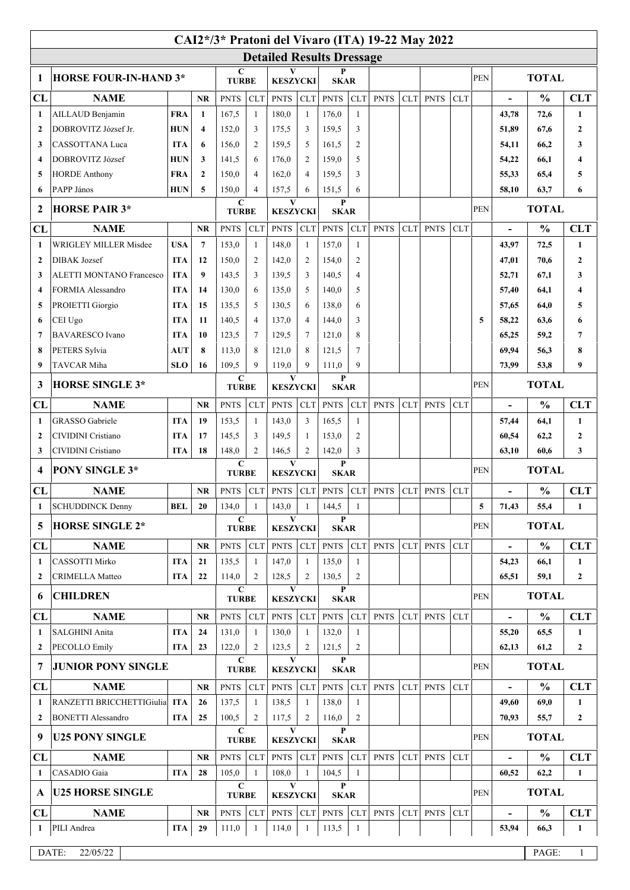|                         |                                 |            |                |                             |                   |                                  |                      |                  |                         | CAI2*/3* Pratoni del Vivaro (ITA) 19-22 May 2022 |             |             |            |            |                          |                             |                  |
|-------------------------|---------------------------------|------------|----------------|-----------------------------|-------------------|----------------------------------|----------------------|------------------|-------------------------|--------------------------------------------------|-------------|-------------|------------|------------|--------------------------|-----------------------------|------------------|
|                         |                                 |            |                |                             |                   | <b>Detailed Results Dressage</b> |                      |                  |                         |                                                  |             |             |            |            |                          |                             |                  |
| 1                       | <b>HORSE FOUR-IN-HAND 3*</b>    |            |                | $\mathbf C$<br><b>TURBE</b> |                   | <b>KESZYCKI</b>                  |                      | P<br><b>SKAR</b> |                         |                                                  |             |             |            | <b>PEN</b> | <b>TOTAL</b>             |                             |                  |
| CL                      | <b>NAME</b><br><b>NR</b>        |            | <b>PNTS</b>    | <b>CLT</b>                  | <b>PNTS</b>       | CLT                              | <b>PNTS</b>          | CLT              | <b>PNTS</b>             | <b>CLT</b>                                       | <b>PNTS</b> | <b>CLT</b>  |            |            | $\frac{0}{0}$            | <b>CLT</b>                  |                  |
| 1                       | AILLAUD Benjamin                | <b>FRA</b> | $\mathbf{1}$   | 167,5                       | $\mathbf{1}$      | 180,0                            | $\mathbf{1}$         | 176,0            | 1                       |                                                  |             |             |            |            | 43,78                    | 72,6                        | 1                |
| $\overline{2}$          | DOBROVITZ József Jr.            | <b>HUN</b> | 4              | 152,0                       | 3                 | 175,5                            | 3                    | 159,5            | 3                       |                                                  |             |             |            |            | 51,89                    | 67,6                        | $\boldsymbol{2}$ |
| 3                       | CASSOTTANA Luca                 | <b>ITA</b> | 6              | 156,0                       | $\overline{c}$    | 159,5                            | 5                    | 161,5            | 2                       |                                                  |             |             |            |            | 54,11                    | 66,2                        | 3                |
| $\overline{\mathbf{4}}$ | DOBROVITZ József                | <b>HUN</b> | 3              | 141,5                       | 6                 | 176.0                            | 2                    | 159,0            | 5                       |                                                  |             |             |            |            | 54,22                    | 66,1                        | 4                |
| 5                       | <b>HORDE Anthony</b>            | <b>FRA</b> | $\mathbf{2}$   | 150.0                       | 4                 | 162,0                            | $\overline{4}$       | 159.5            | 3                       |                                                  |             |             |            |            | 55,33                    | 65,4                        | 5                |
| -6                      | PAPP János                      | <b>HUN</b> | 5              | 150,0                       | 4                 | 157,5                            | 6                    | 151,5            | 6                       |                                                  |             |             |            |            | 58,10                    | 63,7                        | 6                |
| $\mathbf 2$             | <b>HORSE PAIR 3*</b>            |            |                | $\mathbf C$<br><b>TURBE</b> |                   | V<br><b>KESZYCKI</b>             |                      | P<br><b>SKAR</b> |                         |                                                  |             |             |            | <b>PEN</b> | <b>TOTAL</b>             |                             |                  |
| <b>CL</b>               | <b>NAME</b>                     |            | <b>NR</b>      | <b>PNTS</b>                 | <b>CLT</b>        | <b>PNTS</b>                      | <b>CLT</b>           | <b>PNTS</b>      | <b>CLT</b>              | <b>PNTS</b>                                      | <b>CLT</b>  | <b>PNTS</b> | <b>CLT</b> |            | $\blacksquare$           | $\frac{0}{0}$<br><b>CLT</b> |                  |
| -1                      | WRIGLEY MILLER Misdee           | <b>USA</b> | $\overline{7}$ | 153,0                       | $\mathbf{1}$      | 148,0                            | 1                    | 157,0            | 1                       |                                                  |             |             |            |            | 43,97                    | 72,5                        | $\mathbf{1}$     |
| $\overline{2}$          | <b>DIBAK</b> Jozsef             | <b>ITA</b> | 12             | 150,0                       | 2                 | 142,0                            | 2                    | 154,0            | 2                       |                                                  |             |             |            |            | 47,01                    | 70,6                        | $\overline{2}$   |
| 3                       | <b>ALETTI MONTANO Francesco</b> | <b>ITA</b> | 9              | 143,5                       | 3                 | 139,5                            | 3                    | 140,5            | $\overline{4}$          |                                                  |             |             |            |            | 52,71                    | 67.1                        | 3                |
| $\overline{\mathbf{4}}$ | FORMIA Alessandro               | <b>ITA</b> | 14             | 130,0                       | 6                 | 135,0                            | 5                    | 140,0            | 5                       |                                                  |             |             |            |            | 57,40                    | 64,1                        | 4                |
| 5                       | PROIETTI Giorgio                | <b>ITA</b> | 15             | 135.5                       | 5                 | 130,5                            | 6                    | 138,0            | 6                       |                                                  |             |             |            |            | 57,65                    | 64,0                        | 5                |
| -6                      | CEI Ugo                         | <b>ITA</b> | 11             | 140,5                       | $\overline{4}$    | 137,0                            | $\overline{4}$       | 144,0            | 3                       |                                                  |             |             |            | 5          | 58,22                    | 63,6                        | 6                |
| 7                       | <b>BAVARESCO</b> Ivano          | <b>ITA</b> | 10             | 123.5                       | $\overline{7}$    | 129,5                            | $\overline{7}$       | 121,0            | 8                       |                                                  |             |             |            |            | 65,25                    | 59,2                        | 7                |
| 8                       | PETERS Sylvia                   | <b>AUT</b> | 8              | 113,0                       | 8                 | 121,0                            | 8                    | 121.5            | 7                       |                                                  |             |             |            |            | 69,94                    | 56,3                        | 8                |
| 9                       | <b>TAVCAR Miha</b>              | <b>SLO</b> | 16             | 109,5                       | 9                 | 119,0<br>V                       | 9                    | 111,0<br>P       | 9                       |                                                  |             |             |            |            | 73,99                    | 53.8                        | 9                |
| 3                       | <b>HORSE SINGLE 3*</b>          |            |                | C<br><b>TURBE</b>           |                   | <b>KESZYCKI</b>                  |                      | <b>SKAR</b>      |                         |                                                  |             |             |            | <b>PEN</b> |                          | <b>TOTAL</b>                |                  |
| CL                      | <b>NAME</b>                     |            | <b>NR</b>      | <b>PNTS</b>                 | <b>CLT</b>        | <b>PNTS</b>                      | <b>CLT</b>           | <b>PNTS</b>      | <b>CLT</b>              | <b>PNTS</b>                                      | <b>CLT</b>  | <b>PNTS</b> | <b>CLT</b> |            | L,                       | $\frac{0}{0}$               | <b>CLT</b>       |
| 1                       | <b>GRASSO</b> Gabriele          | <b>ITA</b> | 19             | 153,5                       | 1                 | 143,0                            | 3                    | 165,5            | 1                       |                                                  |             |             |            |            | 57,44                    | 64,1                        | $\mathbf{1}$     |
| $\overline{2}$          | CIVIDINI Cristiano              | <b>ITA</b> | 17             | 145,5                       | 3                 | 149,5                            | -1                   | 153,0            | 2                       |                                                  |             |             |            |            | 60,54                    | 62,2                        | $\overline{2}$   |
| 3                       | CIVIDINI Cristiano              | <b>ITA</b> | 18             | 148,0                       | 2                 | 146,5                            | 2                    | 142,0            | 3                       |                                                  |             |             |            |            | 63,10                    | 60,6                        | 3                |
| $\overline{\mathbf{4}}$ | <b>PONY SINGLE 3*</b>           |            |                | $\mathbf C$<br><b>TURBE</b> |                   | V<br><b>KESZYCKI</b>             |                      | P<br><b>SKAR</b> |                         |                                                  |             |             |            | <b>PEN</b> | <b>TOTAL</b>             |                             |                  |
| CL                      | <b>NAME</b>                     |            | <b>NR</b>      | <b>PNTS</b>                 | <b>CLT</b>        | <b>PNTS</b>                      | <b>CLT</b>           | <b>PNTS</b>      | <b>CLT</b>              | <b>PNTS</b>                                      | <b>CLT</b>  | <b>PNTS</b> | <b>CLT</b> |            | $\overline{\phantom{0}}$ | $\frac{0}{0}$               | <b>CLT</b>       |
| 1                       | <b>SCHUDDINCK Denny</b>         | <b>BEL</b> | 20             | 134,0                       |                   | 143,0                            |                      | 144,5            | 1                       |                                                  |             |             |            | 5          | 71,43                    | 55,4                        | 1                |
| 5                       | <b>HORSE SINGLE 2*</b>          |            |                | C<br><b>TURBE</b>           |                   | V<br><b>KESZYCKI</b>             |                      | P                | <b>SKAR</b>             |                                                  |             |             |            | <b>PEN</b> |                          | <b>TOTAL</b>                |                  |
| CL                      | <b>NAME</b>                     |            | <b>NR</b>      | <b>PNTS</b>                 | <b>CLT</b>        | <b>PNTS</b>                      | CLT                  | <b>PNTS</b>      | CLT                     | <b>PNTS</b>                                      | <b>CLT</b>  | <b>PNTS</b> | <b>CLT</b> |            | $\overline{\phantom{0}}$ | $\frac{0}{0}$               | <b>CLT</b>       |
| 1                       | CASSOTTI Mirko                  | <b>ITA</b> | 21             | 135,5                       | 1                 | 147,0                            | -1                   | 135,0            | 1                       |                                                  |             |             |            |            | 54,23                    | 66,1                        | $\mathbf{1}$     |
| $\mathbf{2}$            | <b>CRIMELLA Matteo</b>          | <b>ITA</b> | 22             | 114,0                       | 2                 | 128,5                            | 2                    | 130,5            | 2                       |                                                  |             |             |            |            | 65,51                    | 59,1                        | $\mathbf{2}$     |
| 6                       | <b>CHILDREN</b>                 |            |                |                             | C<br><b>TURBE</b> |                                  | V<br><b>KESZYCKI</b> |                  | P<br><b>SKAR</b>        |                                                  |             |             |            |            | <b>TOTAL</b>             |                             |                  |
| CL                      | <b>NAME</b>                     |            | <b>NR</b>      | <b>PNTS</b>                 | <b>CLT</b>        | <b>PNTS</b>                      | <b>CLT</b>           | <b>PNTS</b>      | <b>CLT</b>              | <b>PNTS</b>                                      | <b>CLT</b>  | <b>PNTS</b> | <b>CLT</b> |            | $\overline{a}$           | $\frac{0}{0}$               | <b>CLT</b>       |
| -1                      | SALGHINI Anita                  | <b>ITA</b> | 24             | 131,0                       | $\mathbf{1}$      | 130,0                            | $\overline{1}$       | 132,0            | 1                       |                                                  |             |             |            |            | 55,20                    | 65,5                        | $\mathbf{1}$     |
| $\overline{2}$          | <b>PECOLLO Emily</b>            | <b>ITA</b> | 23             | 122,0                       | 2                 | 123,5                            | 2                    | 121,5            | $\overline{c}$          |                                                  |             |             |            |            | 62,13                    | 61,2                        | $\mathbf{2}$     |
| 7                       | <b>JUNIOR PONY SINGLE</b>       |            |                | $\mathbf C$<br><b>TURBE</b> |                   | V<br><b>KESZYCKI</b>             |                      | P<br><b>SKAR</b> |                         |                                                  |             |             |            | <b>PEN</b> |                          | <b>TOTAL</b>                |                  |
| CL                      | <b>NAME</b>                     |            | <b>NR</b>      | <b>PNTS</b>                 | <b>CLT</b>        | <b>PNTS</b>                      | ${\rm CLT}$          | <b>PNTS</b>      | CLT                     | <b>PNTS</b>                                      | CLT         | <b>PNTS</b> | <b>CLT</b> |            | $\blacksquare$           | $\frac{0}{0}$               | <b>CLT</b>       |
| -1                      | RANZETTI BRICCHETTIGiulia       | <b>ITA</b> | 26             | 137,5                       | 1                 | 138,5                            | -1                   | 138,0            | 1                       |                                                  |             |             |            |            | 49,60                    | 69,0                        | 1                |
| $\overline{2}$          | <b>BONETTI Alessandro</b>       | <b>ITA</b> | 25             | 100,5                       | 2                 | 117,5                            | 2                    | 116,0            | 2                       |                                                  |             |             |            |            | 70,93                    | 55,7                        | $\mathbf{2}$     |
| 9                       | <b>U25 PONY SINGLE</b>          |            |                | $\mathbf C$<br><b>TURBE</b> |                   | V<br><b>KESZYCKI</b>             |                      | P<br><b>SKAR</b> |                         |                                                  |             |             |            | <b>PEN</b> | <b>TOTAL</b>             |                             |                  |
| CL                      | <b>NAME</b>                     |            | <b>NR</b>      | <b>PNTS</b>                 | <b>CLT</b>        | <b>PNTS</b>                      | CLT                  | <b>PNTS</b>      | CLT                     | <b>PNTS</b>                                      | <b>CLT</b>  | <b>PNTS</b> | <b>CLT</b> |            | $\overline{a}$           | $\frac{0}{0}$               | <b>CLT</b>       |
| 1                       | CASADIO Gaia                    | <b>ITA</b> | 28             | 105,0                       | 1                 | 108,0                            | 1                    | 104,5            | $\mathbf{1}$            |                                                  |             |             |            |            | 60,52                    | 62,2                        | 1                |
| A                       | <b>U25 HORSE SINGLE</b>         |            |                | $\mathbf C$<br><b>TURBE</b> |                   |                                  | V<br><b>KESZYCKI</b> |                  | $\bf{P}$<br><b>SKAR</b> |                                                  |             |             |            |            |                          | <b>TOTAL</b>                |                  |
| CL                      | <b>NAME</b>                     |            | <b>NR</b>      | <b>PNTS</b>                 | <b>CLT</b>        | <b>PNTS</b>                      | <b>CLT</b>           | <b>PNTS</b>      | CLT                     | <b>PNTS</b>                                      | <b>CLT</b>  | <b>PNTS</b> | <b>CLT</b> |            | $\overline{\phantom{0}}$ | $\frac{0}{0}$               | <b>CLT</b>       |
| 1                       | PILI Andrea                     | <b>ITA</b> | 29             | 111,0                       | $\mathbf{1}$      | 114,0                            | $\overline{1}$       | 113,5            | 1                       |                                                  |             |             |            |            | 53,94                    | 66,3                        | $\mathbf{1}$     |
|                         | DATE:<br>22/05/22               |            |                |                             |                   |                                  |                      |                  |                         |                                                  |             |             |            |            |                          | PAGE:                       | $\mathbf{1}$     |